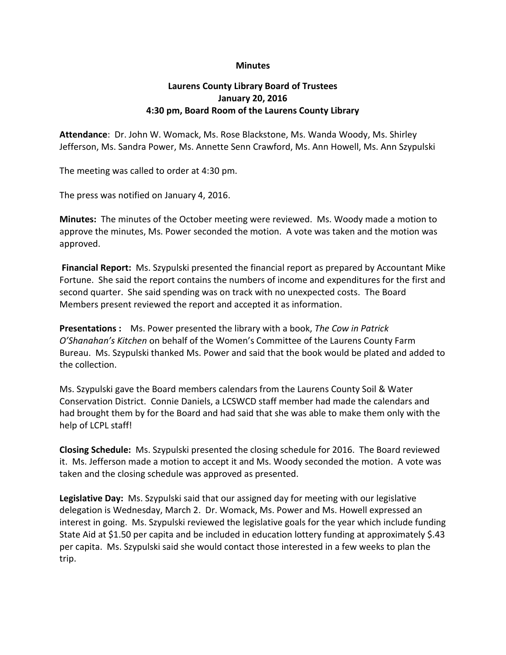## **Minutes**

## **Laurens County Library Board of Trustees January 20, 2016 4:30 pm, Board Room of the Laurens County Library**

**Attendance**: Dr. John W. Womack, Ms. Rose Blackstone, Ms. Wanda Woody, Ms. Shirley Jefferson, Ms. Sandra Power, Ms. Annette Senn Crawford, Ms. Ann Howell, Ms. Ann Szypulski

The meeting was called to order at 4:30 pm.

The press was notified on January 4, 2016.

**Minutes:** The minutes of the October meeting were reviewed. Ms. Woody made a motion to approve the minutes, Ms. Power seconded the motion. A vote was taken and the motion was approved.

**Financial Report:** Ms. Szypulski presented the financial report as prepared by Accountant Mike Fortune. She said the report contains the numbers of income and expenditures for the first and second quarter. She said spending was on track with no unexpected costs. The Board Members present reviewed the report and accepted it as information.

**Presentations :** Ms. Power presented the library with a book, *The Cow in Patrick O'Shanahan's Kitchen* on behalf of the Women's Committee of the Laurens County Farm Bureau. Ms. Szypulski thanked Ms. Power and said that the book would be plated and added to the collection.

Ms. Szypulski gave the Board members calendars from the Laurens County Soil & Water Conservation District. Connie Daniels, a LCSWCD staff member had made the calendars and had brought them by for the Board and had said that she was able to make them only with the help of LCPL staff!

**Closing Schedule:** Ms. Szypulski presented the closing schedule for 2016. The Board reviewed it. Ms. Jefferson made a motion to accept it and Ms. Woody seconded the motion. A vote was taken and the closing schedule was approved as presented.

**Legislative Day:** Ms. Szypulski said that our assigned day for meeting with our legislative delegation is Wednesday, March 2. Dr. Womack, Ms. Power and Ms. Howell expressed an interest in going. Ms. Szypulski reviewed the legislative goals for the year which include funding State Aid at \$1.50 per capita and be included in education lottery funding at approximately \$.43 per capita. Ms. Szypulski said she would contact those interested in a few weeks to plan the trip.